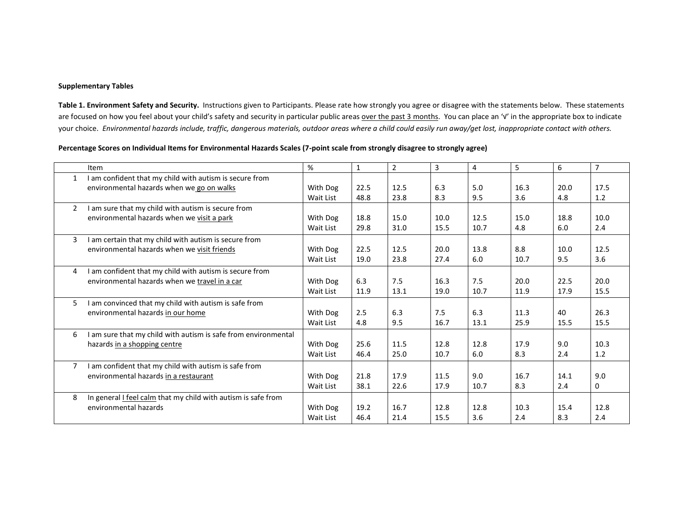## **Supplementary Tables**

**Table 1. Environment Safety and Security.** Instructions given to Participants. Please rate how strongly you agree or disagree with the statements below. These statements are focused on how you feel about your child's safety and security in particular public areas over the past 3 months. You can place an '√' in the appropriate box to indicate your choice. *Environmental hazards include, traffic, dangerous materials, outdoor areas where a child could easily run away/get lost, inappropriate contact with others.* 

## **Percentage Scores on Individual Items for Environmental Hazards Scales (7-point scale from strongly disagree to strongly agree)**

|               | Item                                                                 | %         | $\mathbf{1}$ | $\overline{2}$ | $\overline{3}$ | 4    | 5    | 6    | $\overline{7}$ |
|---------------|----------------------------------------------------------------------|-----------|--------------|----------------|----------------|------|------|------|----------------|
| $\mathbf{1}$  | I am confident that my child with autism is secure from              |           |              |                |                |      |      |      |                |
|               | environmental hazards when we go on walks                            | With Dog  | 22.5         | 12.5           | 6.3            | 5.0  | 16.3 | 20.0 | 17.5           |
|               |                                                                      | Wait List | 48.8         | 23.8           | 8.3            | 9.5  | 3.6  | 4.8  | 1.2            |
| $\mathcal{P}$ | I am sure that my child with autism is secure from                   |           |              |                |                |      |      |      |                |
|               | environmental hazards when we visit a park                           | With Dog  | 18.8         | 15.0           | 10.0           | 12.5 | 15.0 | 18.8 | 10.0           |
|               |                                                                      | Wait List | 29.8         | 31.0           | 15.5           | 10.7 | 4.8  | 6.0  | 2.4            |
| 3             | I am certain that my child with autism is secure from                |           |              |                |                |      |      |      |                |
|               | environmental hazards when we visit friends                          | With Dog  | 22.5         | 12.5           | 20.0           | 13.8 | 8.8  | 10.0 | 12.5           |
|               |                                                                      | Wait List | 19.0         | 23.8           | 27.4           | 6.0  | 10.7 | 9.5  | 3.6            |
| 4             | I am confident that my child with autism is secure from              |           |              |                |                |      |      |      |                |
|               | environmental hazards when we travel in a car                        | With Dog  | 6.3          | 7.5            | 16.3           | 7.5  | 20.0 | 22.5 | 20.0           |
|               |                                                                      | Wait List | 11.9         | 13.1           | 19.0           | 10.7 | 11.9 | 17.9 | 15.5           |
| 5.            | I am convinced that my child with autism is safe from                |           |              |                |                |      |      |      |                |
|               | environmental hazards in our home                                    | With Dog  | 2.5          | 6.3            | 7.5            | 6.3  | 11.3 | 40   | 26.3           |
|               |                                                                      | Wait List | 4.8          | 9.5            | 16.7           | 13.1 | 25.9 | 15.5 | 15.5           |
| 6             | I am sure that my child with autism is safe from environmental       |           |              |                |                |      |      |      |                |
|               | hazards in a shopping centre                                         | With Dog  | 25.6         | 11.5           | 12.8           | 12.8 | 17.9 | 9.0  | 10.3           |
|               |                                                                      | Wait List | 46.4         | 25.0           | 10.7           | 6.0  | 8.3  | 2.4  | $1.2\,$        |
| 7             | I am confident that my child with autism is safe from                |           |              |                |                |      |      |      |                |
|               | environmental hazards in a restaurant                                | With Dog  | 21.8         | 17.9           | 11.5           | 9.0  | 16.7 | 14.1 | 9.0            |
|               |                                                                      | Wait List | 38.1         | 22.6           | 17.9           | 10.7 | 8.3  | 2.4  | 0              |
| 8             | In general <i>I</i> feel calm that my child with autism is safe from |           |              |                |                |      |      |      |                |
|               | environmental hazards                                                | With Dog  | 19.2         | 16.7           | 12.8           | 12.8 | 10.3 | 15.4 | 12.8           |
|               |                                                                      | Wait List | 46.4         | 21.4           | 15.5           | 3.6  | 2.4  | 8.3  | 2.4            |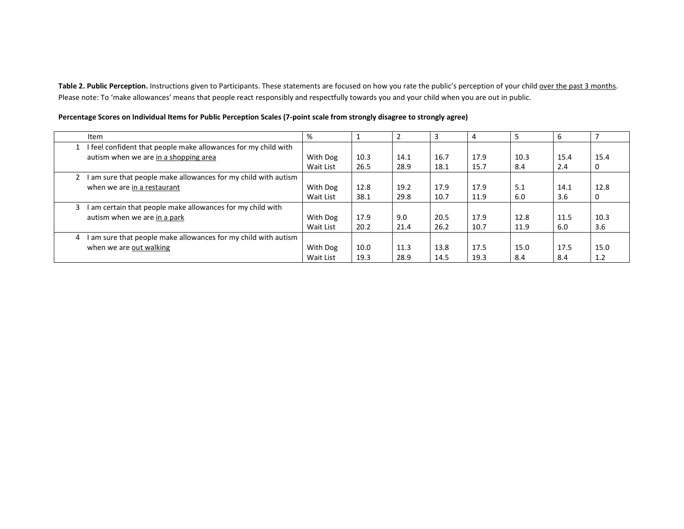**Table 2. Public Perception.** Instructions given to Participants. These statements are focused on how you rate the public's perception of your child over the past 3 months. Please note: To 'make allowances' means that people react responsibly and respectfully towards you and your child when you are out in public.

| Item                                                              | %         |      |      |      | 4    |      | 6    |      |
|-------------------------------------------------------------------|-----------|------|------|------|------|------|------|------|
| I feel confident that people make allowances for my child with    |           |      |      |      |      |      |      |      |
| autism when we are in a shopping area                             | With Dog  | 10.3 | 14.1 | 16.7 | 17.9 | 10.3 | 15.4 | 15.4 |
|                                                                   | Wait List | 26.5 | 28.9 | 18.1 | 15.7 | 8.4  | 2.4  | 0    |
| am sure that people make allowances for my child with autism      |           |      |      |      |      |      |      |      |
| when we are in a restaurant                                       | With Dog  | 12.8 | 19.2 | 17.9 | 17.9 | 5.1  | 14.1 | 12.8 |
|                                                                   | Wait List | 38.1 | 29.8 | 10.7 | 11.9 | 6.0  | 3.6  | 0    |
| I am certain that people make allowances for my child with<br>3   |           |      |      |      |      |      |      |      |
| autism when we are in a park                                      | With Dog  | 17.9 | 9.0  | 20.5 | 17.9 | 12.8 | 11.5 | 10.3 |
|                                                                   | Wait List | 20.2 | 21.4 | 26.2 | 10.7 | 11.9 | 6.0  | 3.6  |
| am sure that people make allowances for my child with autism<br>4 |           |      |      |      |      |      |      |      |
| when we are out walking                                           | With Dog  | 10.0 | 11.3 | 13.8 | 17.5 | 15.0 | 17.5 | 15.0 |
|                                                                   | Wait List | 19.3 | 28.9 | 14.5 | 19.3 | 8.4  | 8.4  | 1.2  |

**Percentage Scores on Individual Items for Public Perception Scales (7-point scale from strongly disagree to strongly agree)**